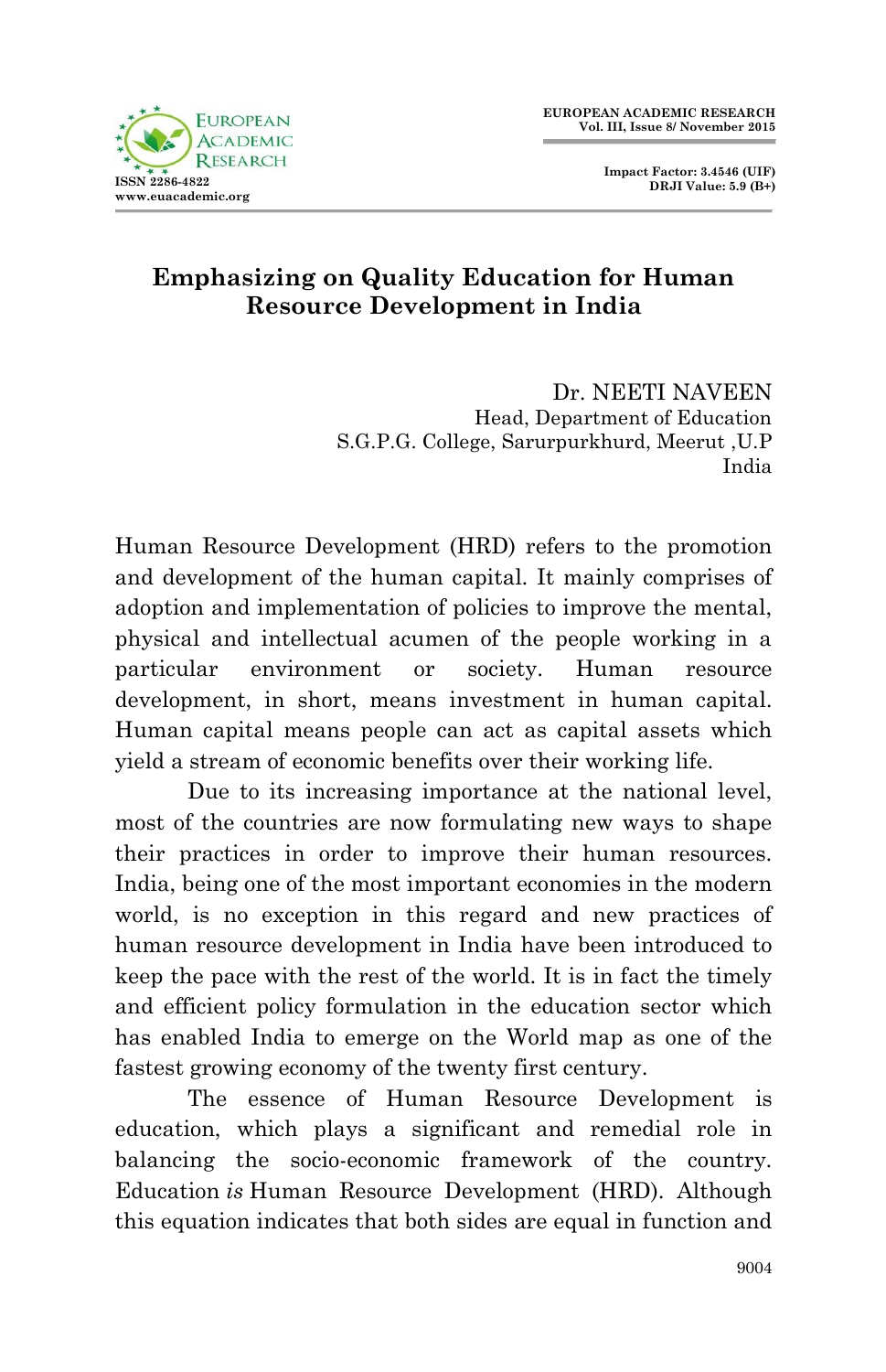

# **Emphasizing on Quality Education for Human Resource Development in India**

 Dr. NEETI NAVEEN Head, Department of Education S.G.P.G. College, Sarurpurkhurd, Meerut ,U.P India

Human Resource Development (HRD) refers to the promotion and development of the human capital. It mainly comprises of adoption and implementation of policies to improve the mental, physical and intellectual acumen of the people working in a particular environment or society. Human resource development, in short, means investment in human capital. Human capital means people can act as capital assets which yield a stream of economic benefits over their working life.

Due to its increasing importance at the national level, most of the countries are now formulating new ways to shape their practices in order to improve their human resources. India, being one of the most important economies in the modern world, is no exception in this regard and new practices of human resource development in India have been introduced to keep the pace with the rest of the world. It is in fact the timely and efficient policy formulation in the education sector which has enabled India to emerge on the World map as one of the fastest growing economy of the twenty first century.

The essence of Human Resource Development is education, which plays a significant and remedial role in balancing the socio-economic framework of the country. Education *is* Human Resource Development (HRD). Although this equation indicates that both sides are equal in function and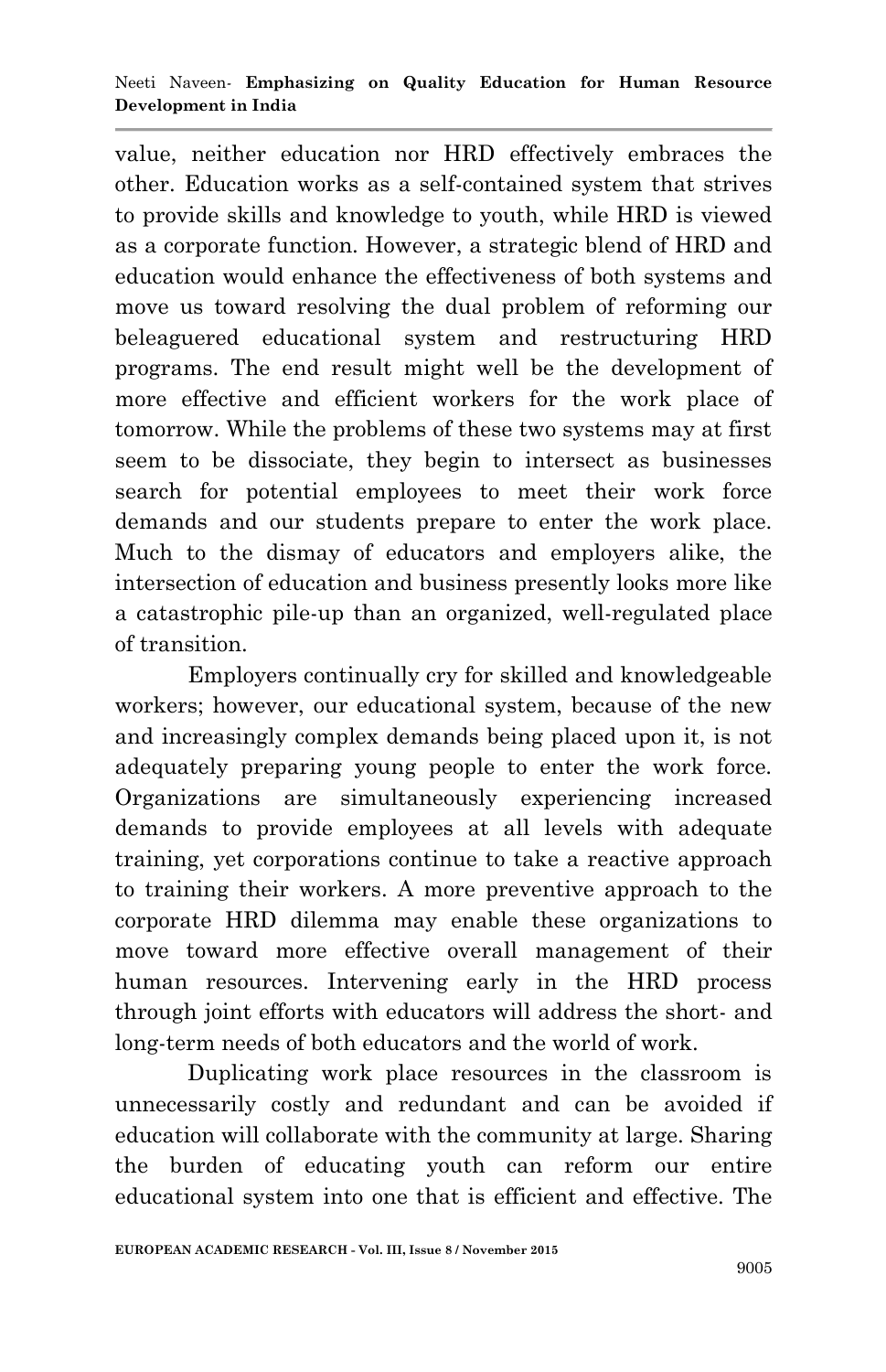value, neither education nor HRD effectively embraces the other. Education works as a self-contained system that strives to provide skills and knowledge to youth, while HRD is viewed as a corporate function. However, a strategic blend of HRD and education would enhance the effectiveness of both systems and move us toward resolving the dual problem of reforming our beleaguered educational system and restructuring HRD programs. The end result might well be the development of more effective and efficient workers for the work place of tomorrow. While the problems of these two systems may at first seem to be dissociate, they begin to intersect as businesses search for potential employees to meet their work force demands and our students prepare to enter the work place. Much to the dismay of educators and employers alike, the intersection of education and business presently looks more like a catastrophic pile-up than an organized, well-regulated place of transition.

Employers continually cry for skilled and knowledgeable workers; however, our educational system, because of the new and increasingly complex demands being placed upon it, is not adequately preparing young people to enter the work force. Organizations are simultaneously experiencing increased demands to provide employees at all levels with adequate training, yet corporations continue to take a reactive approach to training their workers. A more preventive approach to the corporate HRD dilemma may enable these organizations to move toward more effective overall management of their human resources. Intervening early in the HRD process through joint efforts with educators will address the short- and long-term needs of both educators and the world of work.

Duplicating work place resources in the classroom is unnecessarily costly and redundant and can be avoided if education will collaborate with the community at large. Sharing the burden of educating youth can reform our entire educational system into one that is efficient and effective. The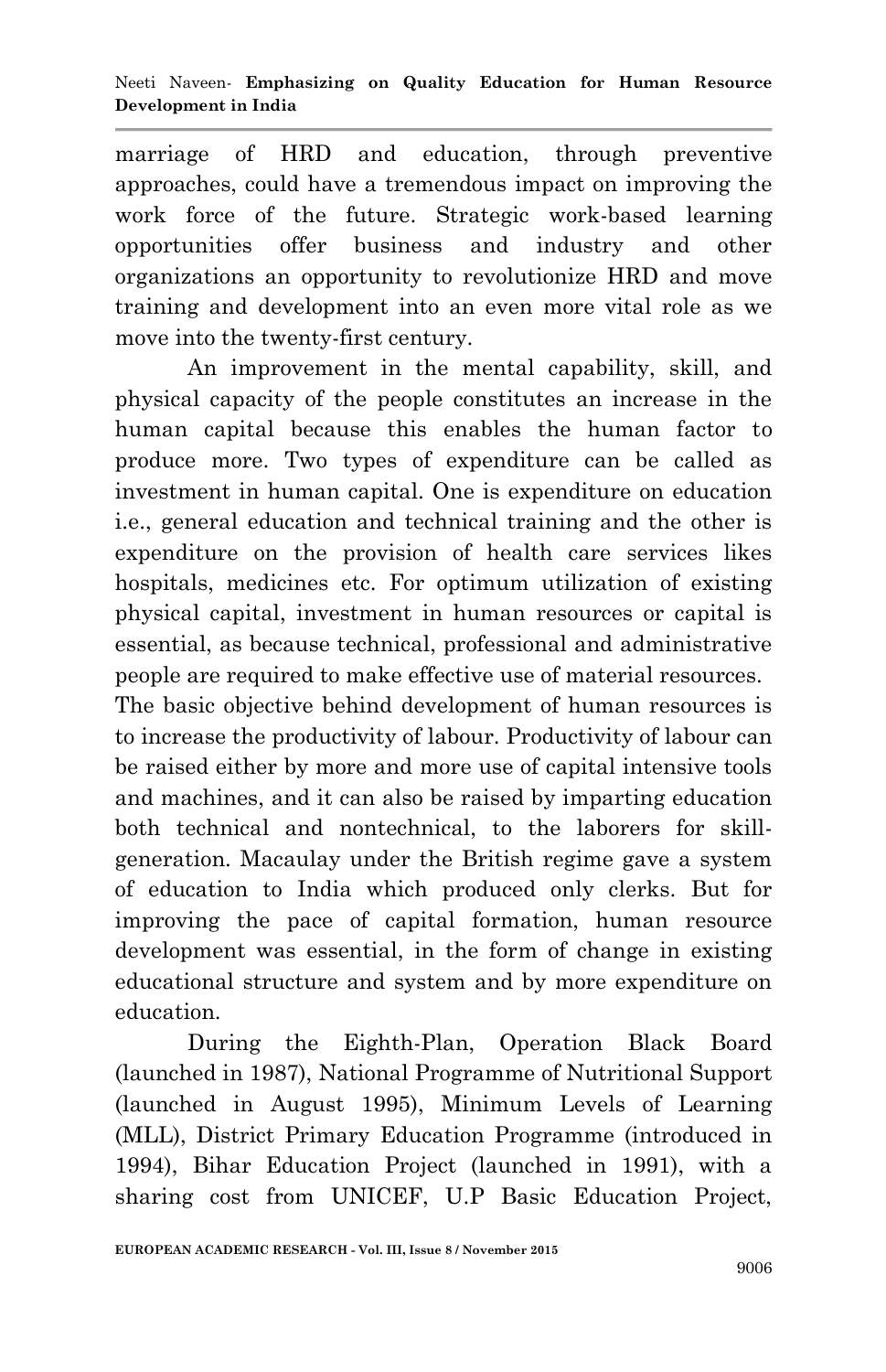marriage of HRD and education, through preventive approaches, could have a tremendous impact on improving the work force of the future. Strategic work-based learning opportunities offer business and industry and other organizations an opportunity to revolutionize HRD and move training and development into an even more vital role as we move into the twenty-first century.

An improvement in the mental capability, skill, and physical capacity of the people constitutes an increase in the human capital because this enables the human factor to produce more. Two types of expenditure can be called as investment in human capital. One is expenditure on education i.e., general education and technical training and the other is expenditure on the provision of health care services likes hospitals, medicines etc. For optimum utilization of existing physical capital, investment in human resources or capital is essential, as because technical, professional and administrative people are required to make effective use of material resources.

The basic objective behind development of human resources is to increase the productivity of labour. Productivity of labour can be raised either by more and more use of capital intensive tools and machines, and it can also be raised by imparting education both technical and nontechnical, to the laborers for skillgeneration. Macaulay under the British regime gave a system of education to India which produced only clerks. But for improving the pace of capital formation, human resource development was essential, in the form of change in existing educational structure and system and by more expenditure on education.

During the Eighth-Plan, Operation Black Board (launched in 1987), National Programme of Nutritional Support (launched in August 1995), Minimum Levels of Learning (MLL), District Primary Education Programme (introduced in 1994), Bihar Education Project (launched in 1991), with a sharing cost from UNICEF, U.P Basic Education Project,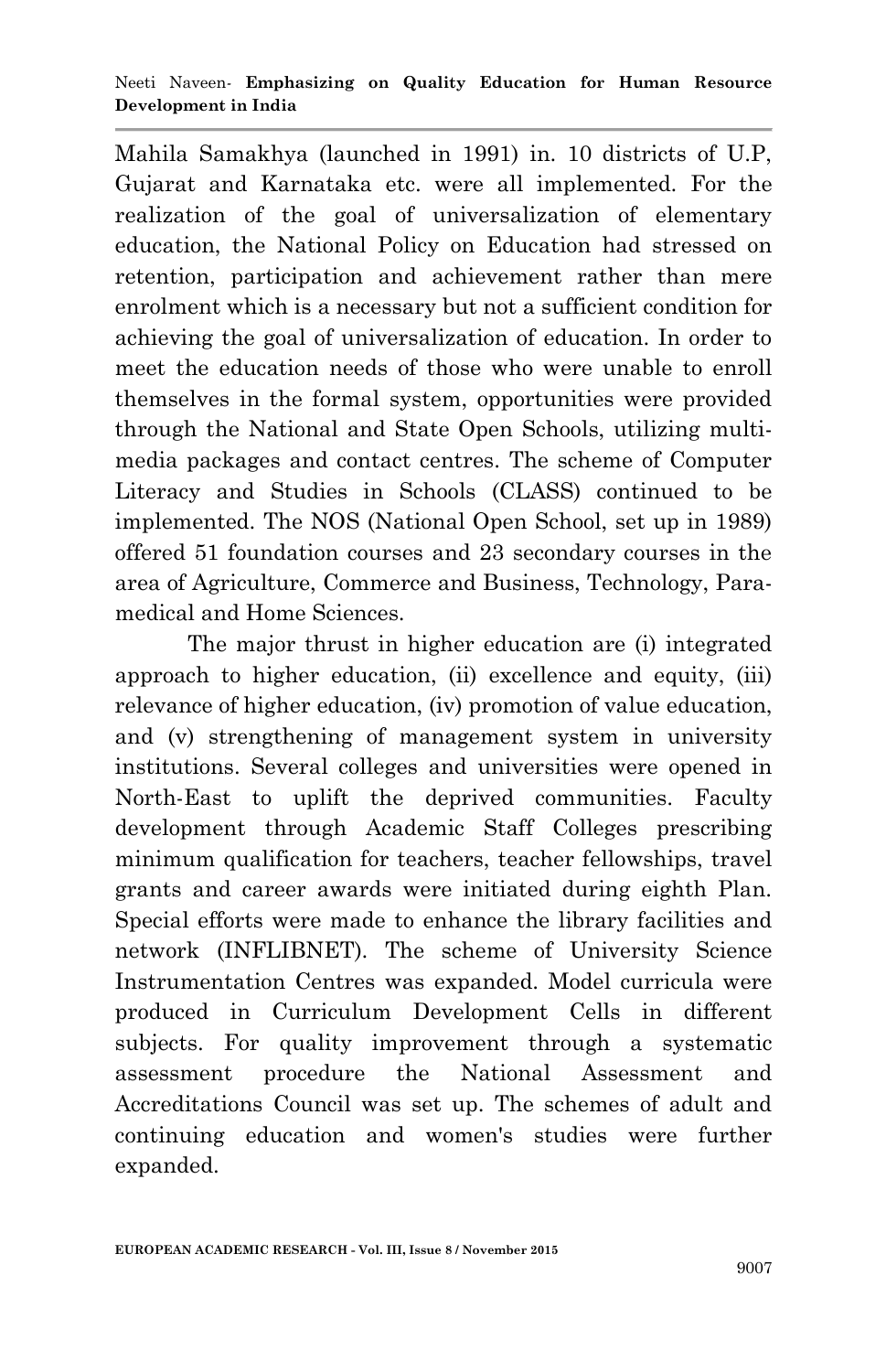Mahila Samakhya (launched in 1991) in. 10 districts of U.P, Gujarat and Karnataka etc. were all implemented. For the realization of the goal of universalization of elementary education, the National Policy on Education had stressed on retention, participation and achievement rather than mere enrolment which is a necessary but not a sufficient condition for achieving the goal of universalization of education. In order to meet the education needs of those who were unable to enroll themselves in the formal system, opportunities were provided through the National and State Open Schools, utilizing multimedia packages and contact centres. The scheme of Computer Literacy and Studies in Schools (CLASS) continued to be implemented. The NOS (National Open School, set up in 1989) offered 51 foundation courses and 23 secondary courses in the area of Agriculture, Commerce and Business, Technology, Paramedical and Home Sciences.

The major thrust in higher education are (i) integrated approach to higher education, (ii) excellence and equity, (iii) relevance of higher education, (iv) promotion of value education, and (v) strengthening of management system in university institutions. Several colleges and universities were opened in North-East to uplift the deprived communities. Faculty development through Academic Staff Colleges prescribing minimum qualification for teachers, teacher fellowships, travel grants and career awards were initiated during eighth Plan. Special efforts were made to enhance the library facilities and network (INFLIBNET). The scheme of University Science Instrumentation Centres was expanded. Model curricula were produced in Curriculum Development Cells in different subjects. For quality improvement through a systematic assessment procedure the National Assessment and Accreditations Council was set up. The schemes of adult and continuing education and women's studies were further expanded.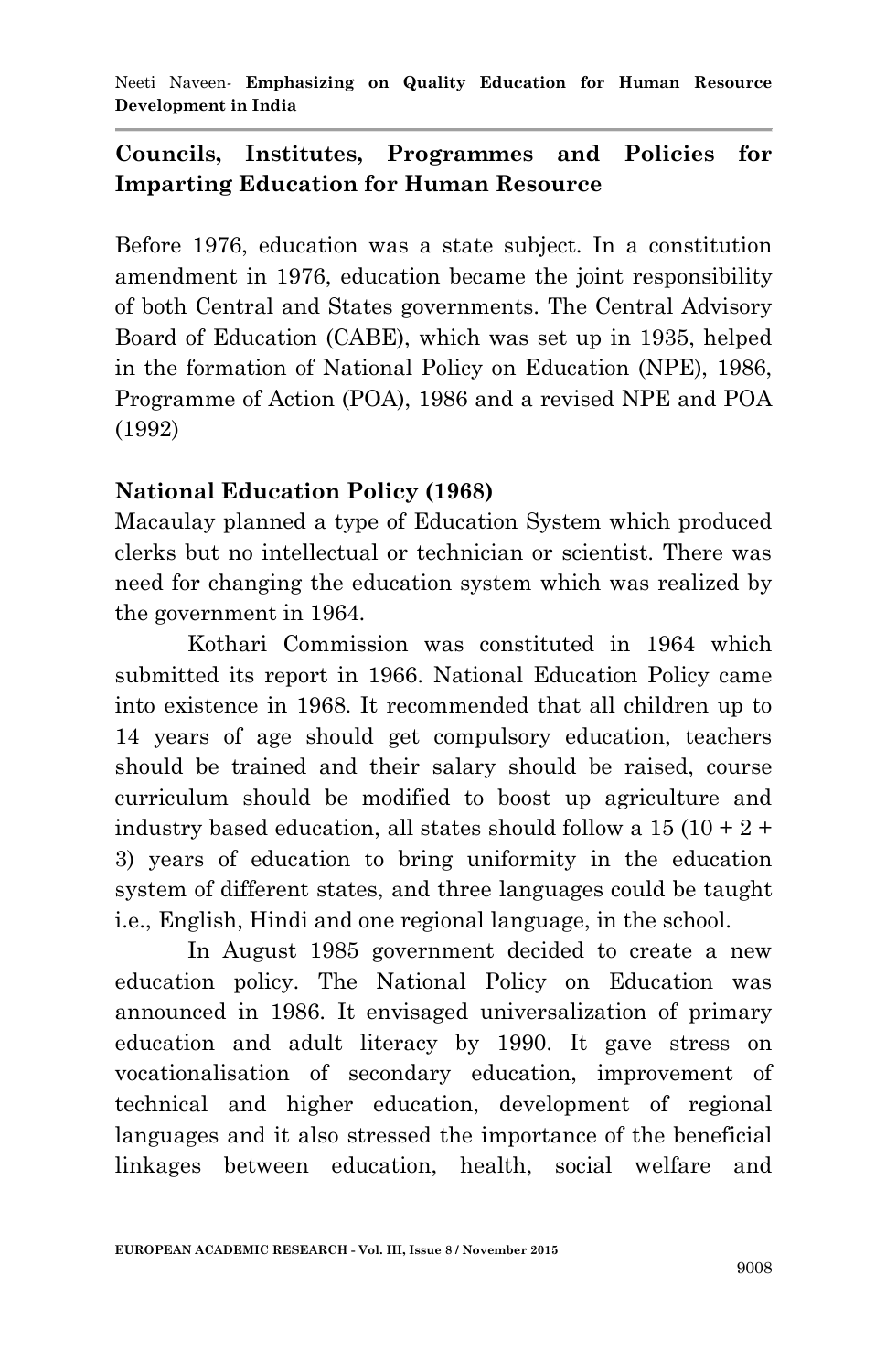Neeti Naveen*-* **Emphasizing on Quality Education for Human Resource Development in India**

## **Councils, Institutes, Programmes and Policies for Imparting Education for Human Resource**

Before 1976, education was a state subject. In a constitution amendment in 1976, education became the joint responsibility of both Central and States governments. The Central Advisory Board of Education (CABE), which was set up in 1935, helped in the formation of National Policy on Education (NPE), 1986, Programme of Action (POA), 1986 and a revised NPE and POA (1992)

### **National Education Policy (1968)**

Macaulay planned a type of Education System which produced clerks but no intellectual or technician or scientist. There was need for changing the education system which was realized by the government in 1964.

Kothari Commission was constituted in 1964 which submitted its report in 1966. National Education Policy came into existence in 1968. It recommended that all children up to 14 years of age should get compulsory education, teachers should be trained and their salary should be raised, course curriculum should be modified to boost up agriculture and industry based education, all states should follow a  $15(10 + 2 +$ 3) years of education to bring uniformity in the education system of different states, and three languages could be taught i.e., English, Hindi and one regional language, in the school.

In August 1985 government decided to create a new education policy. The National Policy on Education was announced in 1986. It envisaged universalization of primary education and adult literacy by 1990. It gave stress on vocationalisation of secondary education, improvement of technical and higher education, development of regional languages and it also stressed the importance of the beneficial linkages between education, health, social welfare and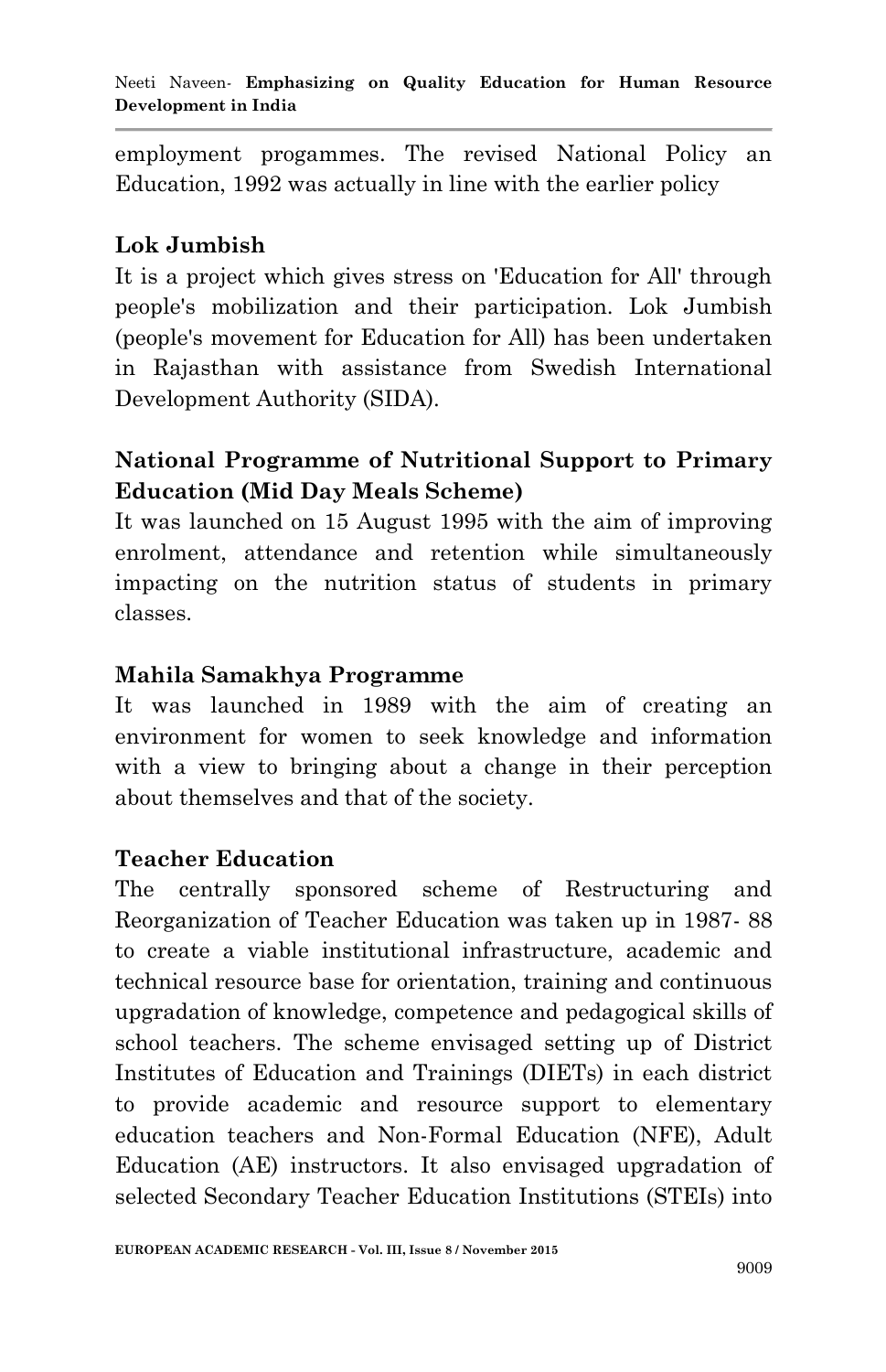employment progammes. The revised National Policy an Education, 1992 was actually in line with the earlier policy

## **Lok Jumbish**

It is a project which gives stress on 'Education for All' through people's mobilization and their participation. Lok Jumbish (people's movement for Education for All) has been undertaken in Rajasthan with assistance from Swedish International Development Authority (SIDA).

# **National Programme of Nutritional Support to Primary Education (Mid Day Meals Scheme)**

It was launched on 15 August 1995 with the aim of improving enrolment, attendance and retention while simultaneously impacting on the nutrition status of students in primary classes.

### **Mahila Samakhya Programme**

It was launched in 1989 with the aim of creating an environment for women to seek knowledge and information with a view to bringing about a change in their perception about themselves and that of the society.

## **Teacher Education**

The centrally sponsored scheme of Restructuring and Reorganization of Teacher Education was taken up in 1987- 88 to create a viable institutional infrastructure, academic and technical resource base for orientation, training and continuous upgradation of knowledge, competence and pedagogical skills of school teachers. The scheme envisaged setting up of District Institutes of Education and Trainings (DIETs) in each district to provide academic and resource support to elementary education teachers and Non-Formal Education (NFE), Adult Education (AE) instructors. It also envisaged upgradation of selected Secondary Teacher Education Institutions (STEIs) into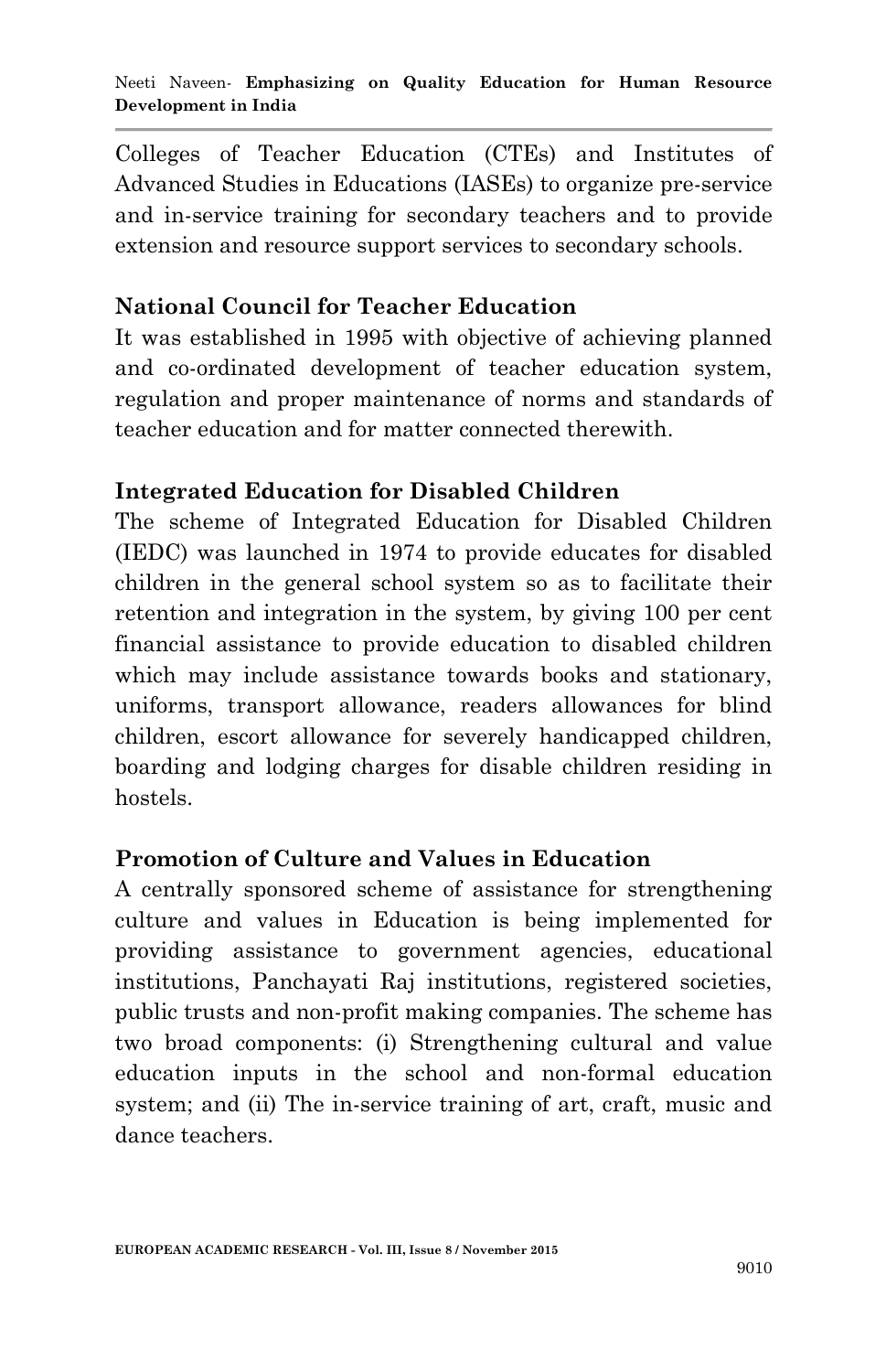Colleges of Teacher Education (CTEs) and Institutes of Advanced Studies in Educations (IASEs) to organize pre-service and in-service training for secondary teachers and to provide extension and resource support services to secondary schools.

### **National Council for Teacher Education**

It was established in 1995 with objective of achieving planned and co-ordinated development of teacher education system, regulation and proper maintenance of norms and standards of teacher education and for matter connected therewith.

### **Integrated Education for Disabled Children**

The scheme of Integrated Education for Disabled Children (IEDC) was launched in 1974 to provide educates for disabled children in the general school system so as to facilitate their retention and integration in the system, by giving 100 per cent financial assistance to provide education to disabled children which may include assistance towards books and stationary, uniforms, transport allowance, readers allowances for blind children, escort allowance for severely handicapped children, boarding and lodging charges for disable children residing in hostels.

### **Promotion of Culture and Values in Education**

A centrally sponsored scheme of assistance for strengthening culture and values in Education is being implemented for providing assistance to government agencies, educational institutions, Panchayati Raj institutions, registered societies, public trusts and non-profit making companies. The scheme has two broad components: (i) Strengthening cultural and value education inputs in the school and non-formal education system; and (ii) The in-service training of art, craft, music and dance teachers.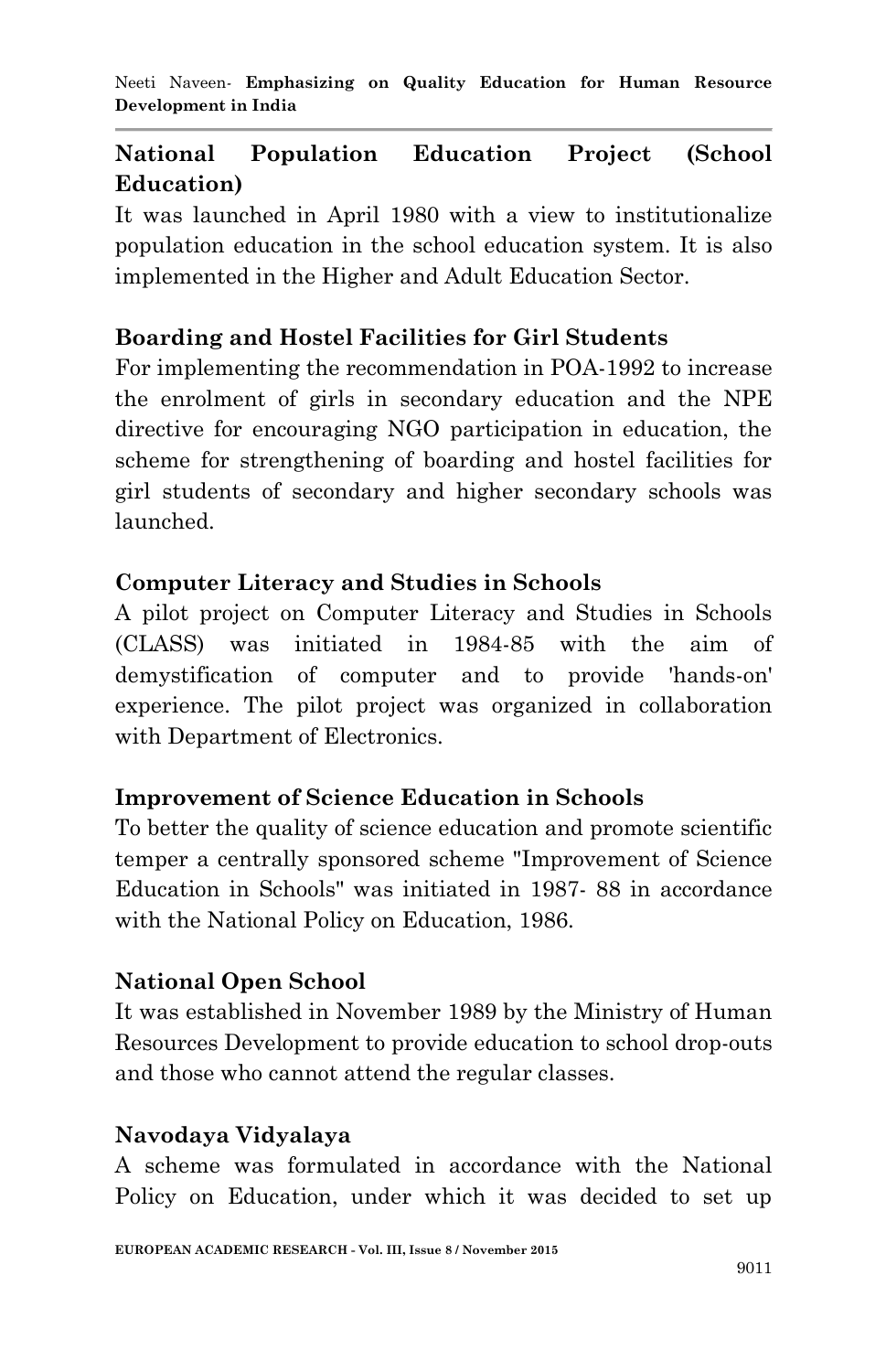# **National Population Education Project (School Education)**

It was launched in April 1980 with a view to institutionalize population education in the school education system. It is also implemented in the Higher and Adult Education Sector.

# **Boarding and Hostel Facilities for Girl Students**

For implementing the recommendation in POA-1992 to increase the enrolment of girls in secondary education and the NPE directive for encouraging NGO participation in education, the scheme for strengthening of boarding and hostel facilities for girl students of secondary and higher secondary schools was launched.

## **Computer Literacy and Studies in Schools**

A pilot project on Computer Literacy and Studies in Schools (CLASS) was initiated in 1984-85 with the aim of demystification of computer and to provide 'hands-on' experience. The pilot project was organized in collaboration with Department of Electronics.

## **Improvement of Science Education in Schools**

To better the quality of science education and promote scientific temper a centrally sponsored scheme "Improvement of Science Education in Schools" was initiated in 1987- 88 in accordance with the National Policy on Education, 1986.

# **National Open School**

It was established in November 1989 by the Ministry of Human Resources Development to provide education to school drop-outs and those who cannot attend the regular classes.

# **Navodaya Vidyalaya**

A scheme was formulated in accordance with the National Policy on Education, under which it was decided to set up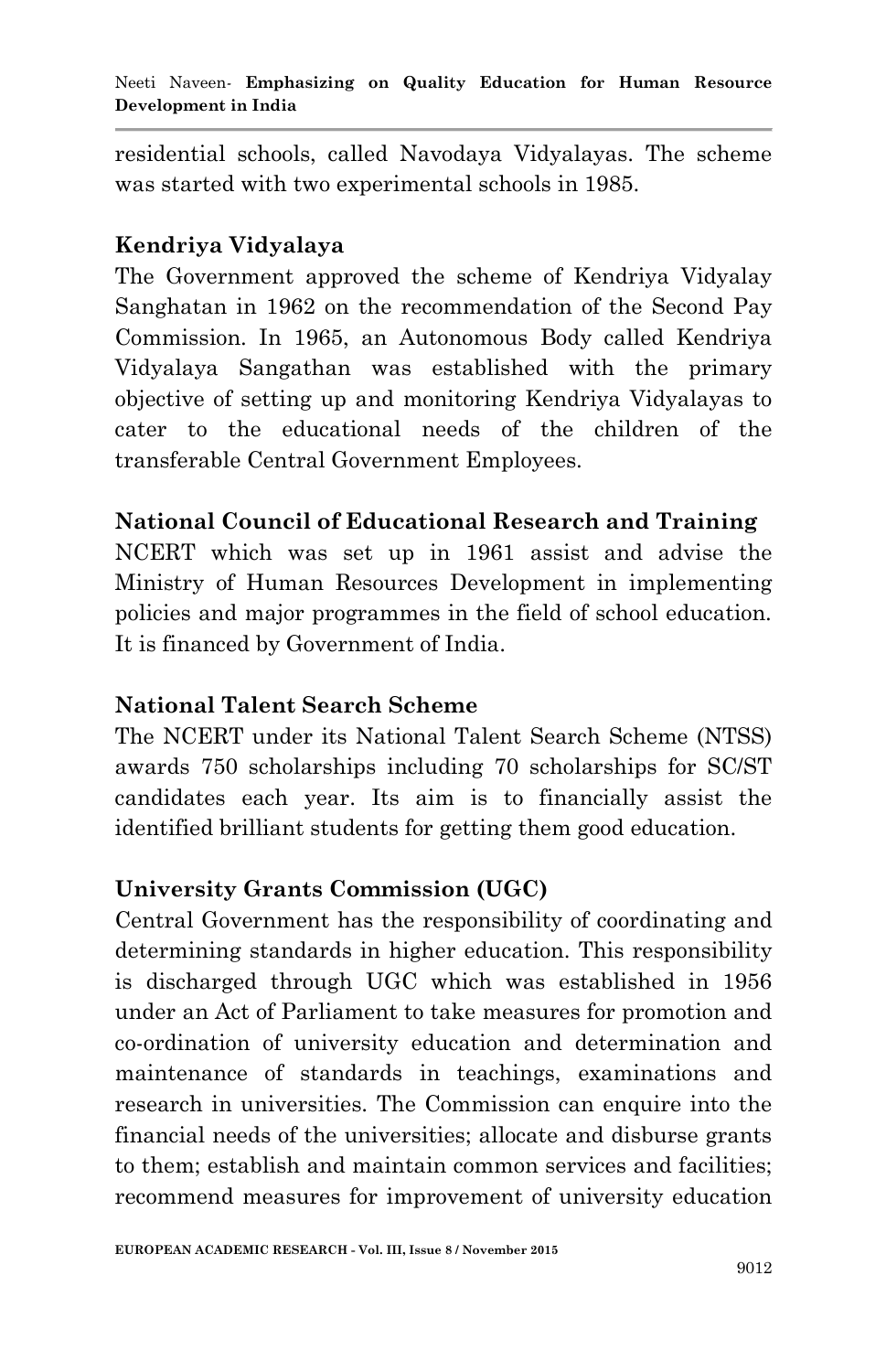residential schools, called Navodaya Vidyalayas. The scheme was started with two experimental schools in 1985.

### **Kendriya Vidyalaya**

The Government approved the scheme of Kendriya Vidyalay Sanghatan in 1962 on the recommendation of the Second Pay Commission. In 1965, an Autonomous Body called Kendriya Vidyalaya Sangathan was established with the primary objective of setting up and monitoring Kendriya Vidyalayas to cater to the educational needs of the children of the transferable Central Government Employees.

### **National Council of Educational Research and Training**

NCERT which was set up in 1961 assist and advise the Ministry of Human Resources Development in implementing policies and major programmes in the field of school education. It is financed by Government of India.

## **National Talent Search Scheme**

The NCERT under its National Talent Search Scheme (NTSS) awards 750 scholarships including 70 scholarships for SC/ST candidates each year. Its aim is to financially assist the identified brilliant students for getting them good education.

## **University Grants Commission (UGC)**

Central Government has the responsibility of coordinating and determining standards in higher education. This responsibility is discharged through UGC which was established in 1956 under an Act of Parliament to take measures for promotion and co-ordination of university education and determination and maintenance of standards in teachings, examinations and research in universities. The Commission can enquire into the financial needs of the universities; allocate and disburse grants to them; establish and maintain common services and facilities; recommend measures for improvement of university education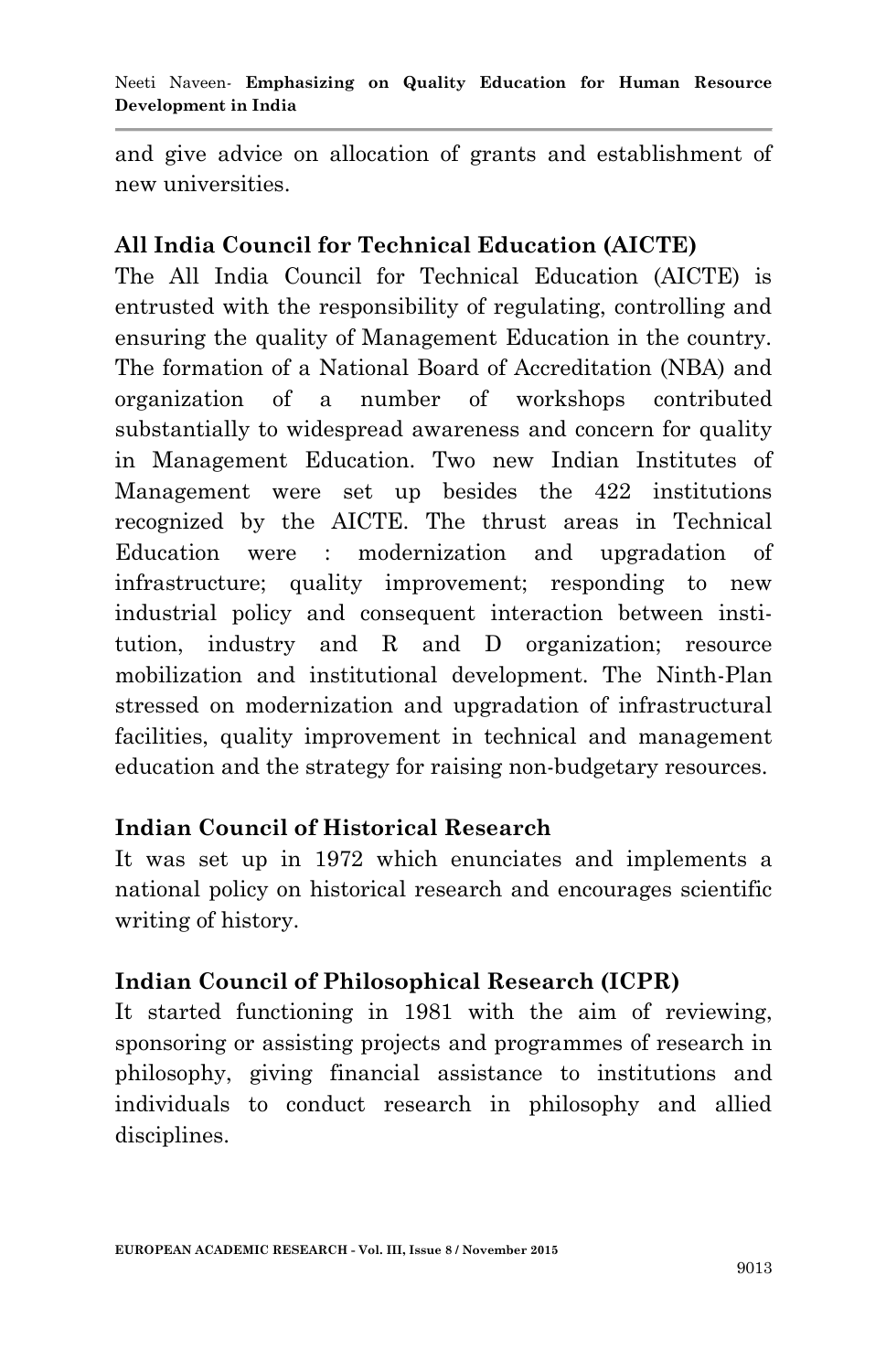and give advice on allocation of grants and establishment of new universities.

### **All India Council for Technical Education (AICTE)**

The All India Council for Technical Education (AICTE) is entrusted with the responsibility of regulating, controlling and ensuring the quality of Management Education in the country. The formation of a National Board of Accreditation (NBA) and organization of a number of workshops contributed substantially to widespread awareness and concern for quality in Management Education. Two new Indian Institutes of Management were set up besides the 422 institutions recognized by the AICTE. The thrust areas in Technical Education were : modernization and upgradation of infrastructure; quality improvement; responding to new industrial policy and consequent interaction between institution, industry and R and D organization; resource mobilization and institutional development. The Ninth-Plan stressed on modernization and upgradation of infrastructural facilities, quality improvement in technical and management education and the strategy for raising non-budgetary resources.

## **Indian Council of Historical Research**

It was set up in 1972 which enunciates and implements a national policy on historical research and encourages scientific writing of history.

## **Indian Council of Philosophical Research (ICPR)**

It started functioning in 1981 with the aim of reviewing, sponsoring or assisting projects and programmes of research in philosophy, giving financial assistance to institutions and individuals to conduct research in philosophy and allied disciplines.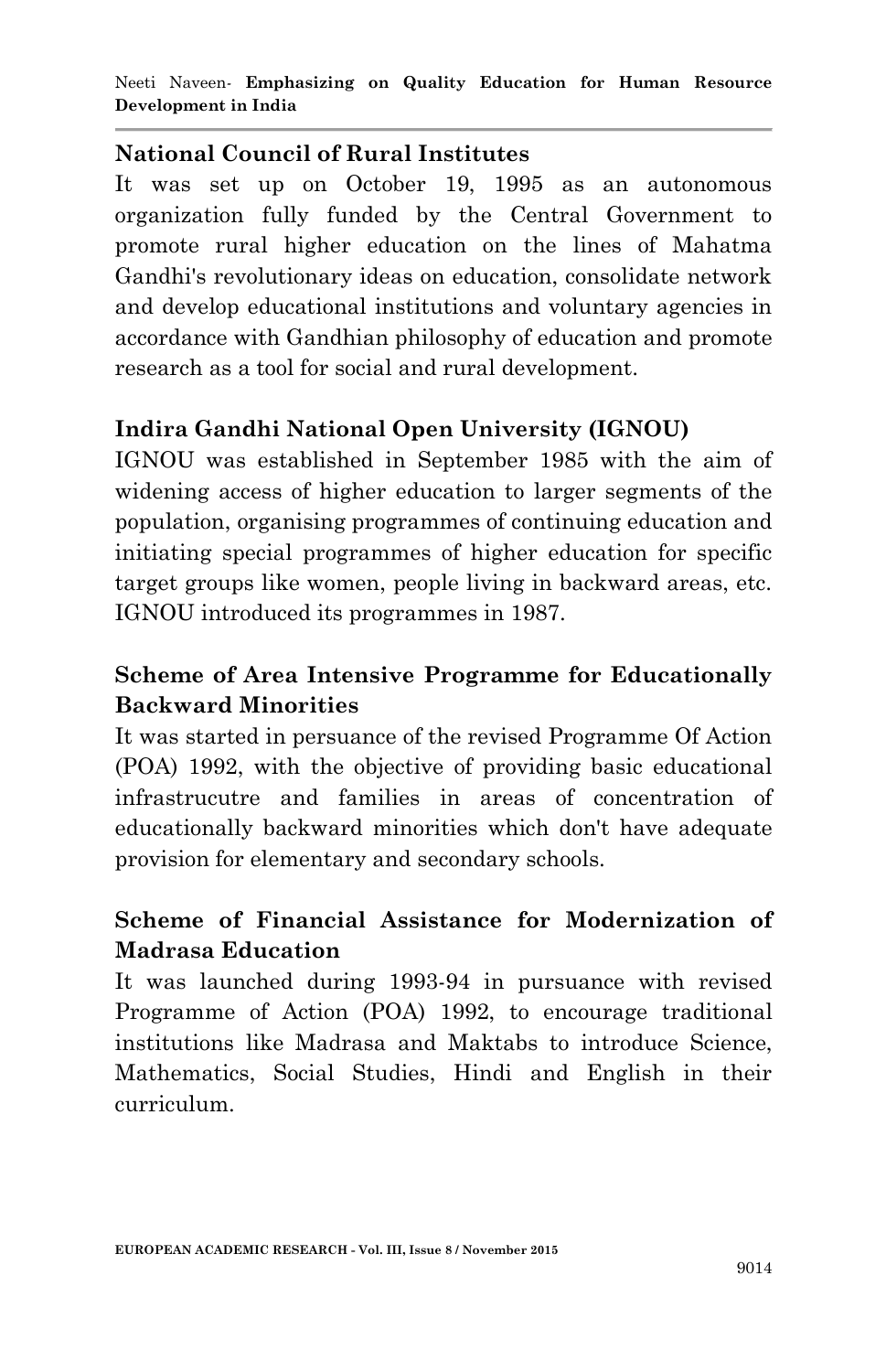## **National Council of Rural Institutes**

It was set up on October 19, 1995 as an autonomous organization fully funded by the Central Government to promote rural higher education on the lines of Mahatma Gandhi's revolutionary ideas on education, consolidate network and develop educational institutions and voluntary agencies in accordance with Gandhian philosophy of education and promote research as a tool for social and rural development.

# **Indira Gandhi National Open University (IGNOU)**

IGNOU was established in September 1985 with the aim of widening access of higher education to larger segments of the population, organising programmes of continuing education and initiating special programmes of higher education for specific target groups like women, people living in backward areas, etc. IGNOU introduced its programmes in 1987.

# **Scheme of Area Intensive Programme for Educationally Backward Minorities**

It was started in persuance of the revised Programme Of Action (POA) 1992, with the objective of providing basic educational infrastrucutre and families in areas of concentration of educationally backward minorities which don't have adequate provision for elementary and secondary schools.

# **Scheme of Financial Assistance for Modernization of Madrasa Education**

It was launched during 1993-94 in pursuance with revised Programme of Action (POA) 1992, to encourage traditional institutions like Madrasa and Maktabs to introduce Science, Mathematics, Social Studies, Hindi and English in their curriculum.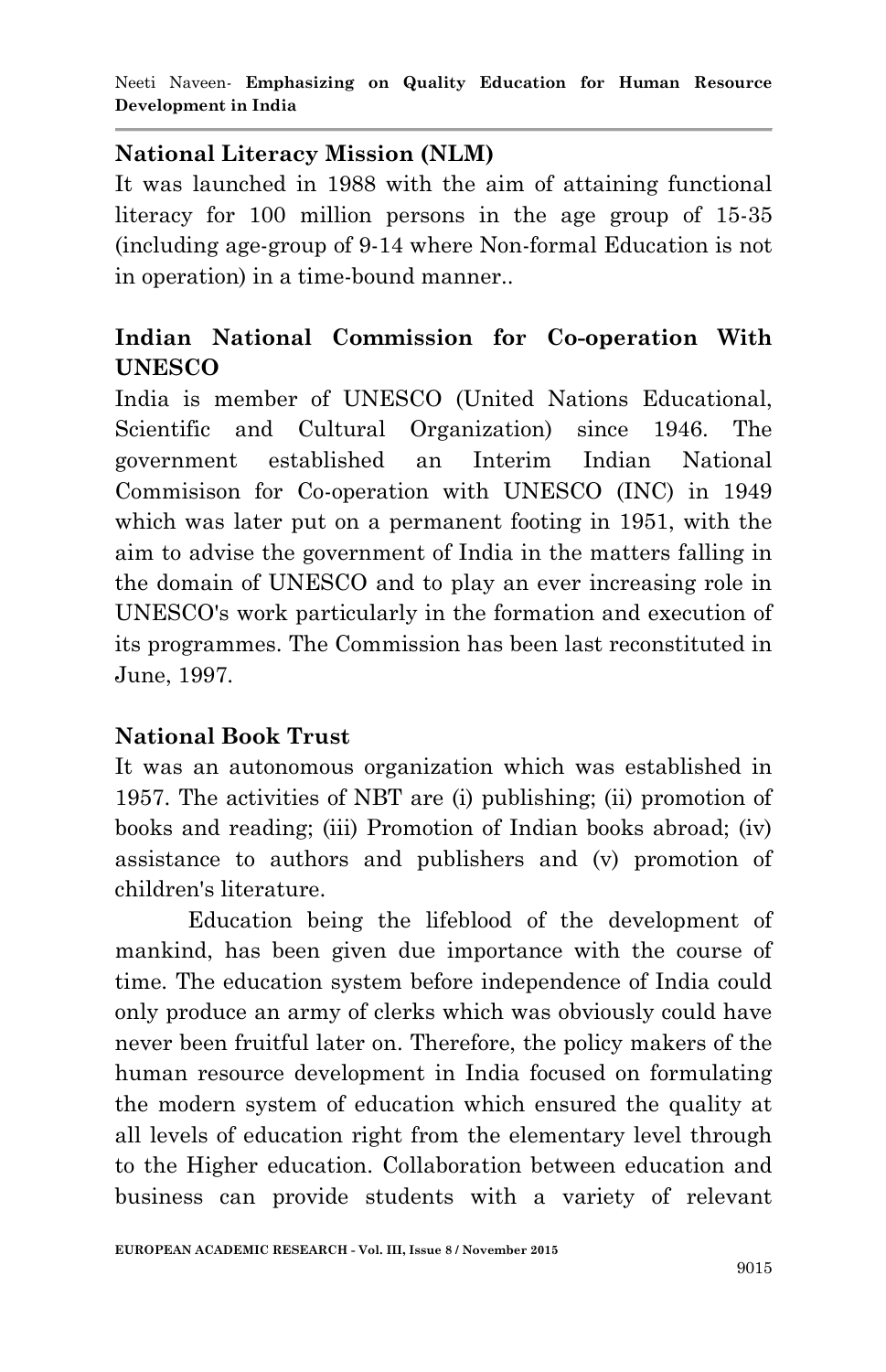## **National Literacy Mission (NLM)**

It was launched in 1988 with the aim of attaining functional literacy for 100 million persons in the age group of 15-35 (including age-group of 9-14 where Non-formal Education is not in operation) in a time-bound manner..

# **Indian National Commission for Co-operation With UNESCO**

India is member of UNESCO (United Nations Educational, Scientific and Cultural Organization) since 1946. The government established an Interim Indian National Commisison for Co-operation with UNESCO (INC) in 1949 which was later put on a permanent footing in 1951, with the aim to advise the government of India in the matters falling in the domain of UNESCO and to play an ever increasing role in UNESCO's work particularly in the formation and execution of its programmes. The Commission has been last reconstituted in June, 1997.

# **National Book Trust**

It was an autonomous organization which was established in 1957. The activities of NBT are (i) publishing; (ii) promotion of books and reading; (iii) Promotion of Indian books abroad; (iv) assistance to authors and publishers and (v) promotion of children's literature.

Education being the lifeblood of the development of mankind, has been given due importance with the course of time. The education system before independence of India could only produce an army of clerks which was obviously could have never been fruitful later on. Therefore, the policy makers of the human resource development in India focused on formulating the modern system of education which ensured the quality at all levels of education right from the elementary level through to the Higher education. Collaboration between education and business can provide students with a variety of relevant